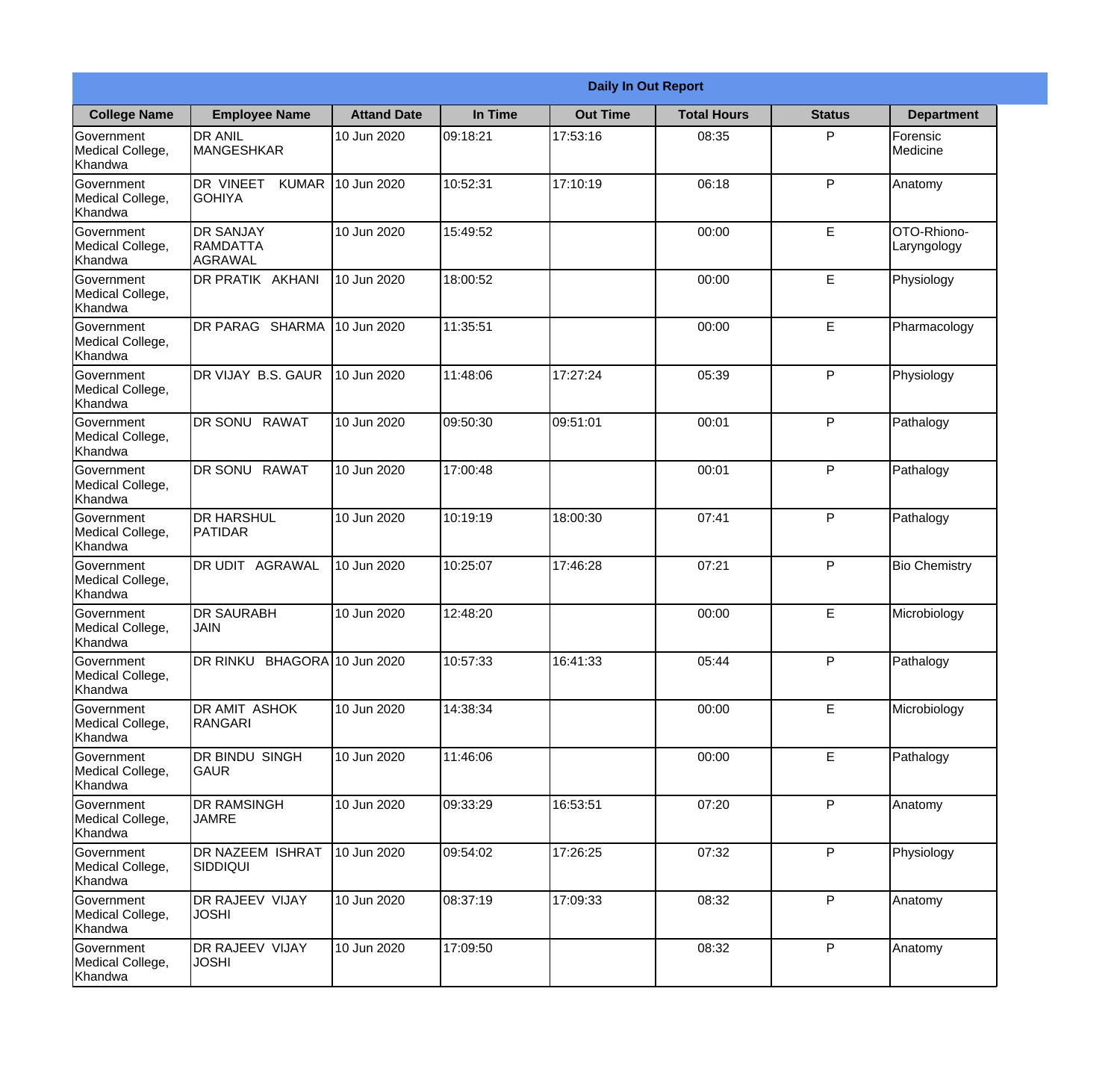|                                                  |                                                        |                    |          | <b>Daily In Out Report</b> |                    |               |                            |
|--------------------------------------------------|--------------------------------------------------------|--------------------|----------|----------------------------|--------------------|---------------|----------------------------|
| <b>College Name</b>                              | <b>Employee Name</b>                                   | <b>Attand Date</b> | In Time  | <b>Out Time</b>            | <b>Total Hours</b> | <b>Status</b> | <b>Department</b>          |
| Government<br>Medical College,<br>Khandwa        | <b>DR ANIL</b><br><b>MANGESHKAR</b>                    | 10 Jun 2020        | 09:18:21 | 17:53:16                   | 08:35              | P             | Forensic<br>Medicine       |
| Government<br>Medical College,<br>Khandwa        | DR VINEET<br><b>KUMAR</b><br><b>GOHIYA</b>             | 10 Jun 2020        | 10:52:31 | 17:10:19                   | 06:18              | P             | Anatomy                    |
| <b>Government</b><br>Medical College,<br>Khandwa | <b>IDR SANJAY</b><br><b>RAMDATTA</b><br><b>AGRAWAL</b> | 10 Jun 2020        | 15:49:52 |                            | 00:00              | E             | OTO-Rhiono-<br>Laryngology |
| Government<br>Medical College,<br>Khandwa        | <b>DR PRATIK AKHANI</b>                                | 10 Jun 2020        | 18:00:52 |                            | 00:00              | E             | Physiology                 |
| Government<br>Medical College,<br>Khandwa        | DR PARAG SHARMA                                        | 10 Jun 2020        | 11:35:51 |                            | 00:00              | E             | Pharmacology               |
| Government<br>Medical College,<br>Khandwa        | DR VIJAY B.S. GAUR                                     | 10 Jun 2020        | 11:48:06 | 17:27:24                   | 05:39              | P             | Physiology                 |
| Government<br>Medical College,<br>Khandwa        | DR SONU RAWAT                                          | 10 Jun 2020        | 09:50:30 | 09:51:01                   | 00:01              | P             | Pathalogy                  |
| Government<br>Medical College,<br>Khandwa        | DR SONU RAWAT                                          | 10 Jun 2020        | 17:00:48 |                            | 00:01              | P             | Pathalogy                  |
| Government<br>Medical College,<br>Khandwa        | <b>DR HARSHUL</b><br>PATIDAR                           | 10 Jun 2020        | 10:19:19 | 18:00:30                   | 07:41              | P             | Pathalogy                  |
| Government<br>Medical College,<br>Khandwa        | DR UDIT<br><b>AGRAWAL</b>                              | 10 Jun 2020        | 10:25:07 | 17:46:28                   | 07:21              | P             | <b>Bio Chemistry</b>       |
| Government<br>Medical College,<br>Khandwa        | <b>IDR SAURABH</b><br><b>JAIN</b>                      | 10 Jun 2020        | 12:48:20 |                            | 00:00              | E             | Microbiology               |
| Government<br>Medical College,<br>Khandwa        | DR RINKU BHAGORA 10 Jun 2020                           |                    | 10:57:33 | 16:41:33                   | 05:44              | P             | Pathalogy                  |
| Government<br>Medical College,<br>Khandwa        | DR AMIT ASHOK<br>RANGARI                               | 10 Jun 2020        | 14:38:34 |                            | 00:00              | E             | Microbiology               |
| Government<br>Medical College,<br>Khandwa        | DR BINDU SINGH<br><b>GAUR</b>                          | 10 Jun 2020        | 11:46:06 |                            | 00:00              | E             | Pathalogy                  |
| Government<br>Medical College,<br>Khandwa        | <b>DR RAMSINGH</b><br><b>JAMRE</b>                     | 10 Jun 2020        | 09:33:29 | 16:53:51                   | 07:20              | P             | Anatomy                    |
| Government<br>Medical College,<br>Khandwa        | <b>DR NAZEEM ISHRAT</b><br><b>SIDDIQUI</b>             | 10 Jun 2020        | 09:54:02 | 17:26:25                   | 07:32              | P             | Physiology                 |
| Government<br>Medical College,<br>Khandwa        | <b>DR RAJEEV VIJAY</b><br><b>JOSHI</b>                 | 10 Jun 2020        | 08:37:19 | 17:09:33                   | 08:32              | P             | Anatomy                    |
| Government<br>Medical College,<br>Khandwa        | DR RAJEEV VIJAY<br><b>JOSHI</b>                        | 10 Jun 2020        | 17:09:50 |                            | 08:32              | P             | Anatomy                    |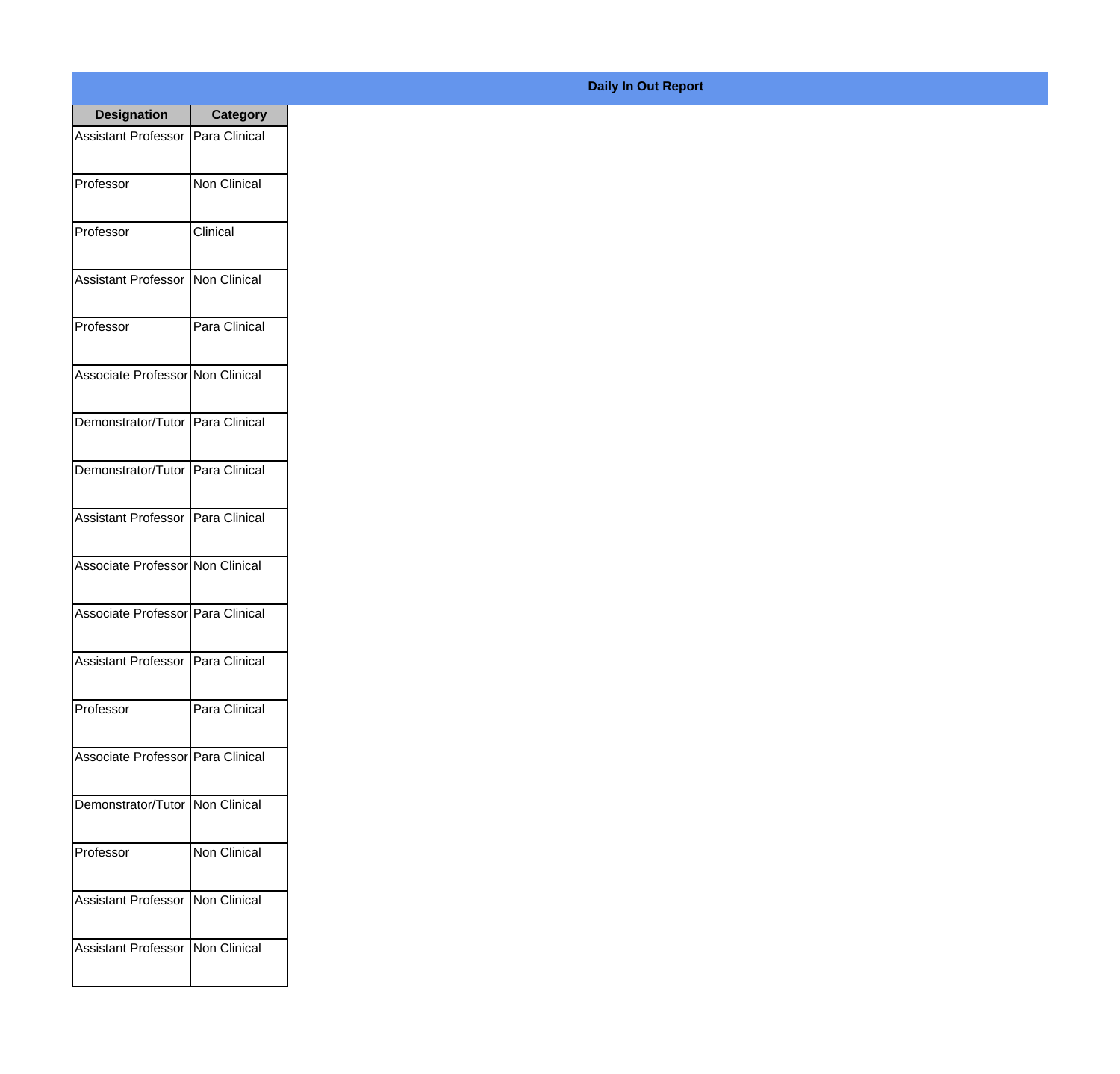| <b>Designation</b>                  | <b>Category</b>     |
|-------------------------------------|---------------------|
| <b>Assistant Professor</b>          | Para Clinical       |
| Professor                           | <b>Non Clinical</b> |
| Professor                           | Clinical            |
| Assistant Professor                 | Non Clinical        |
| Professor                           | Para Clinical       |
| Associate Professor Non Clinical    |                     |
| Demonstrator/Tutor   Para Clinical  |                     |
| Demonstrator/Tutor   Para Clinical  |                     |
| Assistant Professor   Para Clinical |                     |
| Associate Professor Non Clinical    |                     |
| Associate Professor Para Clinical   |                     |
| <b>Assistant Professor</b>          | Para Clinical       |
| Professor                           | Para Clinical       |
| Associate Professor   Para Clinical |                     |
| Demonstrator/Tutor   Non Clinical   |                     |
| Professor                           | Non Clinical        |
| <b>Assistant Professor</b>          | Non Clinical        |
| <b>Assistant Professor</b>          | Non Clinical        |

## **Daily In Out Report**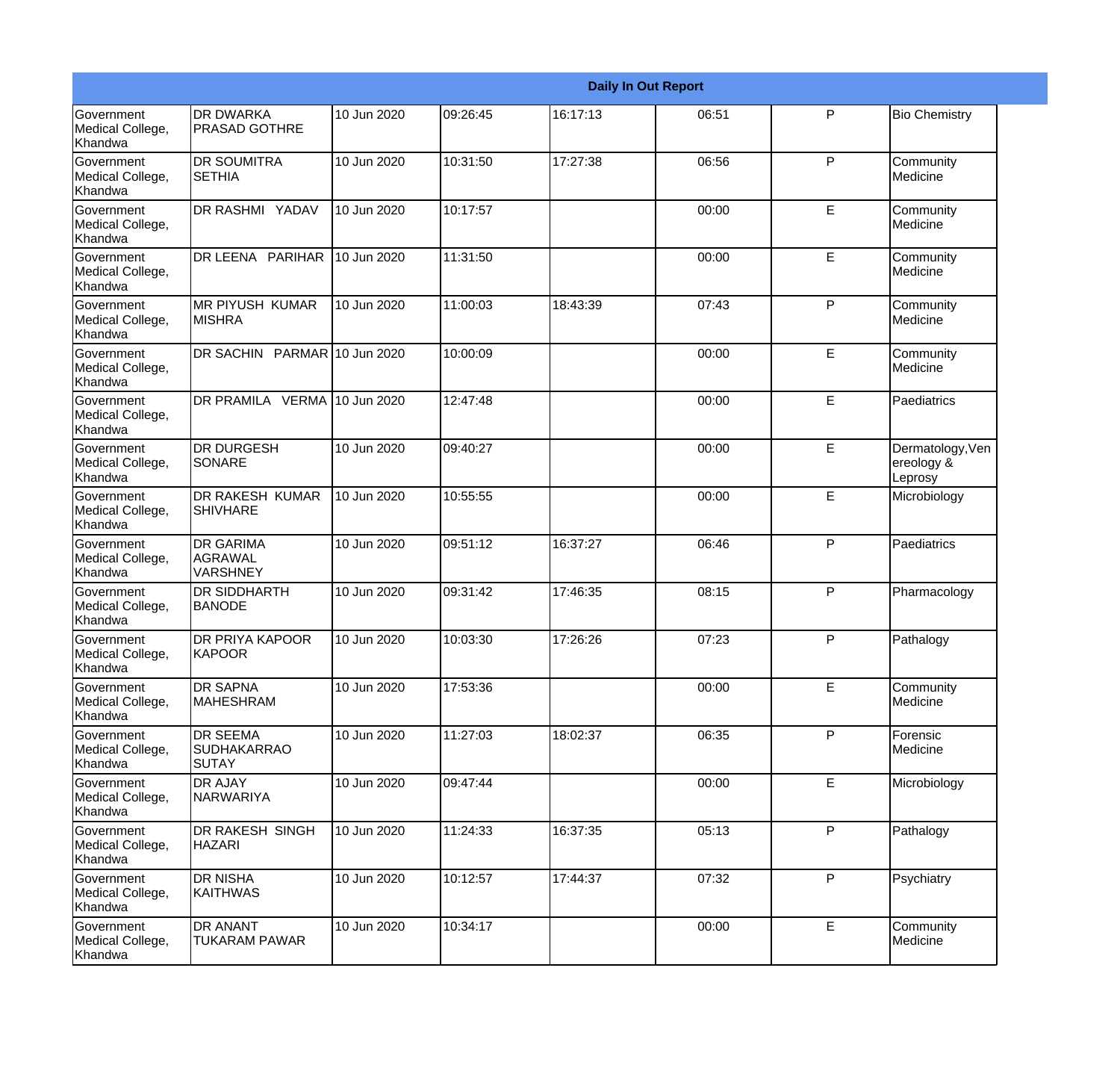|                                                  |                                                       |             |          |          | <b>Daily In Out Report</b> |   |                                           |
|--------------------------------------------------|-------------------------------------------------------|-------------|----------|----------|----------------------------|---|-------------------------------------------|
| <b>Government</b><br>Medical College,<br>Khandwa | <b>DR DWARKA</b><br><b>PRASAD GOTHRE</b>              | 10 Jun 2020 | 09:26:45 | 16:17:13 | 06:51                      | P | <b>Bio Chemistry</b>                      |
| Government<br>Medical College,<br>Khandwa        | <b>DR SOUMITRA</b><br><b>SETHIA</b>                   | 10 Jun 2020 | 10:31:50 | 17:27:38 | 06:56                      | P | Community<br>Medicine                     |
| <b>Government</b><br>Medical College,<br>Khandwa | <b>DR RASHMI YADAV</b>                                | 10 Jun 2020 | 10:17:57 |          | 00:00                      | E | Community<br>Medicine                     |
| <b>Government</b><br>Medical College,<br>Khandwa | DR LEENA PARIHAR                                      | 10 Jun 2020 | 11:31:50 |          | 00:00                      | E | Community<br>Medicine                     |
| Government<br>Medical College,<br>Khandwa        | <b>IMR PIYUSH KUMAR</b><br><b>MISHRA</b>              | 10 Jun 2020 | 11:00:03 | 18:43:39 | 07:43                      | P | Community<br>Medicine                     |
| Government<br>Medical College,<br>Khandwa        | DR SACHIN PARMAR 10 Jun 2020                          |             | 10:00:09 |          | 00:00                      | E | Community<br>Medicine                     |
| Government<br>Medical College,<br>Khandwa        | DR PRAMILA VERMA 10 Jun 2020                          |             | 12:47:48 |          | 00:00                      | E | Paediatrics                               |
| Government<br>Medical College,<br>Khandwa        | <b>DR DURGESH</b><br>SONARE                           | 10 Jun 2020 | 09:40:27 |          | 00:00                      | E | Dermatology, Ven<br>ereology &<br>Leprosy |
| Government<br>Medical College,<br>Khandwa        | <b>DR RAKESH KUMAR</b><br><b>SHIVHARE</b>             | 10 Jun 2020 | 10:55:55 |          | 00:00                      | E | Microbiology                              |
| Government<br>Medical College,<br>Khandwa        | <b>DR GARIMA</b><br><b>AGRAWAL</b><br><b>VARSHNEY</b> | 10 Jun 2020 | 09:51:12 | 16:37:27 | 06:46                      | P | Paediatrics                               |
| <b>Government</b><br>Medical College,<br>Khandwa | <b>DR SIDDHARTH</b><br><b>BANODE</b>                  | 10 Jun 2020 | 09:31:42 | 17:46:35 | 08:15                      | P | Pharmacology                              |
| Government<br>Medical College,<br>Khandwa        | <b>DR PRIYA KAPOOR</b><br>KAPOOR                      | 10 Jun 2020 | 10:03:30 | 17:26:26 | 07:23                      | P | Pathalogy                                 |
| Government<br>Medical College,<br>Khandwa        | <b>DR SAPNA</b><br>MAHESHRAM                          | 10 Jun 2020 | 17:53:36 |          | 00:00                      | E | Community<br>Medicine                     |
| Government<br>Medical College,<br>Khandwa        | <b>DR SEEMA</b><br><b>SUDHAKARRAO</b><br><b>SUTAY</b> | 10 Jun 2020 | 11:27:03 | 18:02:37 | 06:35                      | P | Forensic<br>Medicine                      |
| Government<br>Medical College,<br>Khandwa        | <b>DR AJAY</b><br><b>NARWARIYA</b>                    | 10 Jun 2020 | 09:47:44 |          | 00:00                      | E | Microbiology                              |
| Government<br>Medical College,<br>Khandwa        | <b>DR RAKESH SINGH</b><br><b>HAZARI</b>               | 10 Jun 2020 | 11:24:33 | 16:37:35 | 05:13                      | P | Pathalogy                                 |
| Government<br>Medical College,<br>Khandwa        | <b>DR NISHA</b><br><b>KAITHWAS</b>                    | 10 Jun 2020 | 10:12:57 | 17:44:37 | 07:32                      | P | Psychiatry                                |
| Government<br>Medical College,<br>Khandwa        | <b>DR ANANT</b><br><b>TUKARAM PAWAR</b>               | 10 Jun 2020 | 10:34:17 |          | 00:00                      | E | Community<br>Medicine                     |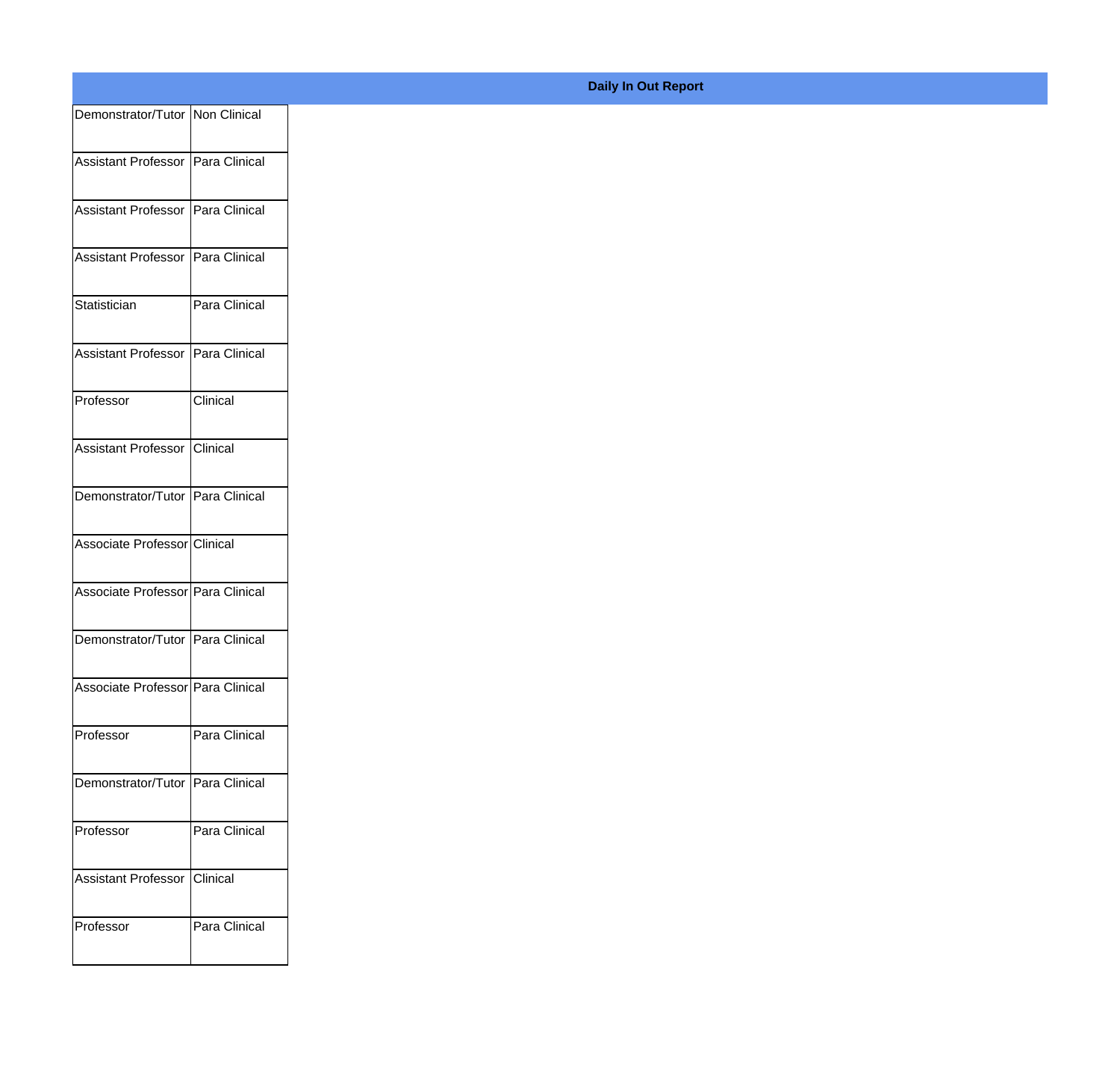| Demonstrator/Tutor Non Clinical     |               |
|-------------------------------------|---------------|
| Assistant Professor   Para Clinical |               |
|                                     |               |
| Assistant Professor Para Clinical   |               |
| Assistant Professor   Para Clinical |               |
|                                     |               |
| Statistician                        | Para Clinical |
| Assistant Professor Para Clinical   |               |
|                                     |               |
| Professor                           | Clinical      |
| Assistant Professor Clinical        |               |
|                                     |               |
| Demonstrator/Tutor Para Clinical    |               |
| Associate Professor Clinical        |               |
|                                     |               |
| Associate Professor Para Clinical   |               |
| Demonstrator/Tutor Para Clinical    |               |
|                                     |               |
| Associate Professor Para Clinical   |               |
| Professor                           | Para Clinical |
|                                     |               |
| Demonstrator/Tutor   Para Clinical  |               |
| Professor                           | Para Clinical |
|                                     |               |
| Assistant Professor Clinical        |               |
| Professor                           | Para Clinical |
|                                     |               |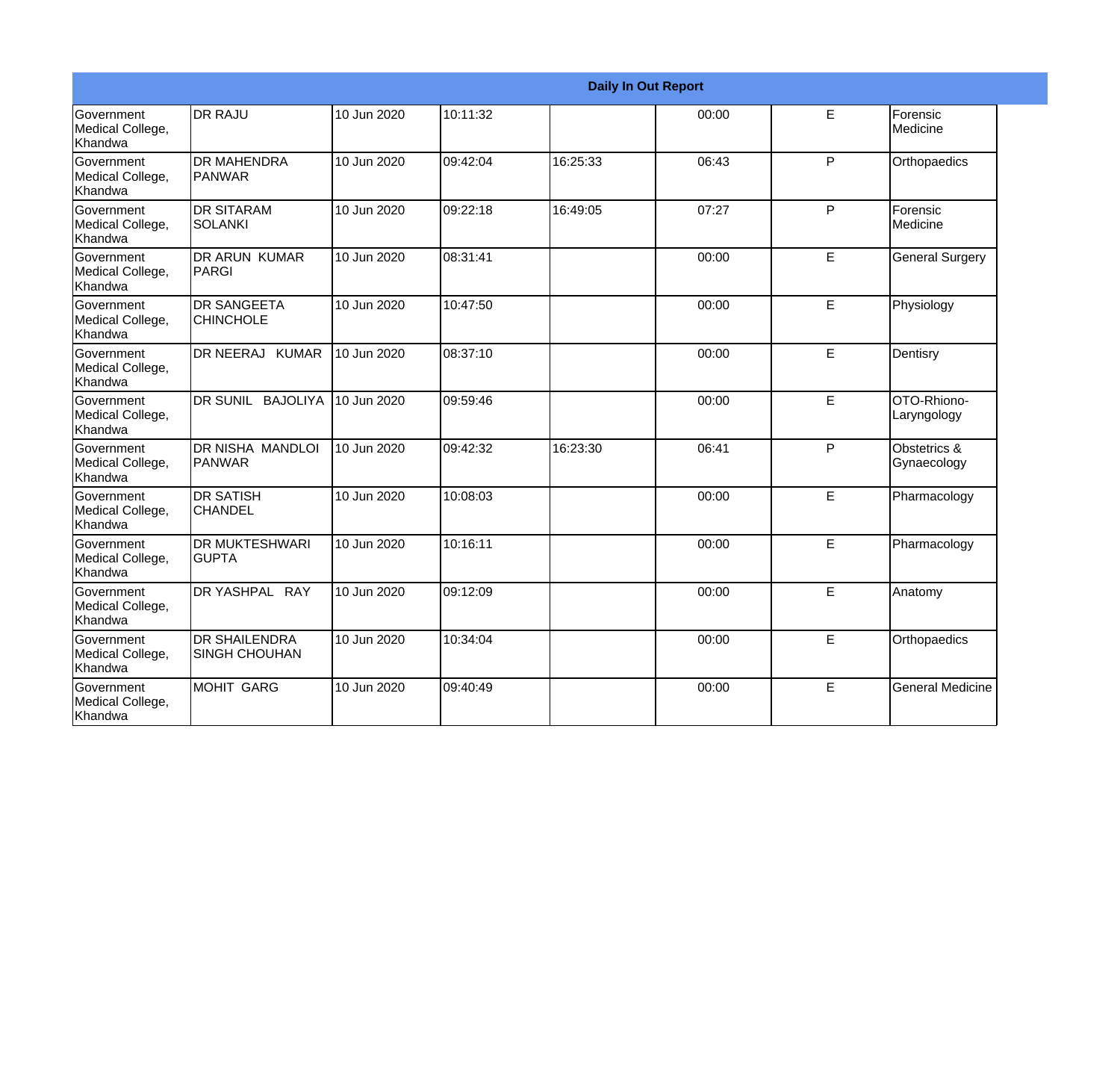|                                                  |                                              |             |          | <b>Daily In Out Report</b> |       |   |                             |
|--------------------------------------------------|----------------------------------------------|-------------|----------|----------------------------|-------|---|-----------------------------|
| <b>Government</b><br>Medical College,<br>Khandwa | <b>IDR RAJU</b>                              | 10 Jun 2020 | 10:11:32 |                            | 00:00 | E | Forensic<br>Medicine        |
| Government<br>Medical College,<br>Khandwa        | <b>DR MAHENDRA</b><br><b>PANWAR</b>          | 10 Jun 2020 | 09:42:04 | 16:25:33                   | 06:43 | P | Orthopaedics                |
| <b>Government</b><br>Medical College,<br>Khandwa | <b>DR SITARAM</b><br><b>SOLANKI</b>          | 10 Jun 2020 | 09:22:18 | 16:49:05                   | 07:27 | P | Forensic<br>Medicine        |
| Government<br>Medical College,<br>Khandwa        | DR ARUN KUMAR<br>PARGI                       | 10 Jun 2020 | 08:31:41 |                            | 00:00 | E | <b>General Surgery</b>      |
| <b>Government</b><br>Medical College,<br>Khandwa | <b>DR SANGEETA</b><br><b>CHINCHOLE</b>       | 10 Jun 2020 | 10:47:50 |                            | 00:00 | E | Physiology                  |
| Government<br>Medical College,<br>Khandwa        | DR NEERAJ KUMAR                              | 10 Jun 2020 | 08:37:10 |                            | 00:00 | E | Dentisry                    |
| <b>Government</b><br>Medical College,<br>Khandwa | DR SUNIL BAJOLIYA                            | 10 Jun 2020 | 09:59:46 |                            | 00:00 | E | OTO-Rhiono-<br>Laryngology  |
| Government<br>Medical College,<br>Khandwa        | <b>DR NISHA MANDLOI</b><br>PANWAR            | 10 Jun 2020 | 09:42:32 | 16:23:30                   | 06:41 | P | Obstetrics &<br>Gynaecology |
| Government<br>Medical College,<br>Khandwa        | <b>DR SATISH</b><br><b>CHANDEL</b>           | 10 Jun 2020 | 10:08:03 |                            | 00:00 | E | Pharmacology                |
| Government<br>Medical College,<br><b>Khandwa</b> | <b>DR MUKTESHWARI</b><br><b>I</b> GUPTA      | 10 Jun 2020 | 10:16:11 |                            | 00:00 | E | Pharmacology                |
| <b>Government</b><br>Medical College,<br>Khandwa | DR YASHPAL RAY                               | 10 Jun 2020 | 09:12:09 |                            | 00:00 | E | Anatomy                     |
| Government<br>Medical College,<br>Khandwa        | <b>DR SHAILENDRA</b><br><b>SINGH CHOUHAN</b> | 10 Jun 2020 | 10:34:04 |                            | 00:00 | E | Orthopaedics                |
| Government<br>Medical College,<br>Khandwa        | MOHIT GARG                                   | 10 Jun 2020 | 09:40:49 |                            | 00:00 | E | <b>General Medicine</b>     |